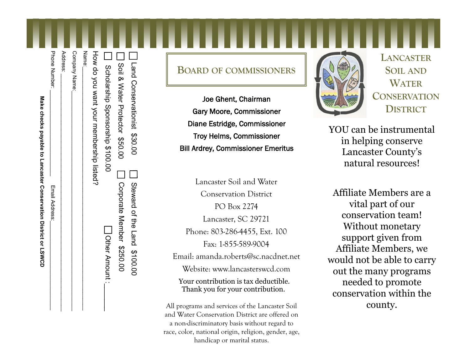| lake checks payable to L:             |
|---------------------------------------|
|                                       |
| במורס וכן ומכור ווהרופת ופנות האפורה. |
|                                       |
|                                       |
|                                       |

| 1 Land Conservationist \$30.00<br>  Soil & Mater Protector \$50.00 | □ Oorporate Nember \$250.00<br>Steward of the Land \$100.00 |
|--------------------------------------------------------------------|-------------------------------------------------------------|
|                                                                    |                                                             |
| Scholarship Sponsorship \$100.00                                   | Other Amount:                                               |
| How do you want your membership listed?                            |                                                             |
| Name:                                                              |                                                             |
| Company Name:                                                      |                                                             |
| Address:                                                           |                                                             |
| Phone Number:                                                      | Email Address:                                              |
|                                                                    |                                                             |

## **BOARD OF COMMISSIONERS**

Joe Ghent, Chairman Gary Moore, Commissioner Diane Estridge, Commissioner Troy Helms, Commissioner Solia<br>
Solia<br>
Solia<br>
Solia<br>
Solia<br>
Solia<br>
Soil Ardrey, Commissioner<br>
Soil Ardrey, Commissioner<br>
Examples Soft<br>
Soil Ardrey, Commissioner<br>
Emeritus<br>
Soil Ardrey, Commissioner<br>
Emeritus

> Lancaster Soil and Water Conservation District PO Box 2274 Lancaster, SC 29721 Phone: 803-286-4455, Ext. 100 Fax: 1-855-589-9004 Email: amanda.roberts@sc.nacdnet.net Website: www.lancasterswcd.com Your contribution is tax deductible. Thank you for your contribution.

All programs and services of the Lancaster Soil and Water Conservation District are offered on a non-discriminatory basis without regard to race, color, national origin, religion, gender, age, handicap or marital status.



**LANCASTER SOIL AND WATER CONSERVATION DISTRICT**

YOU can be instrumental in helping conserve Lancaster County's natural resources!

Affiliate Members are a vital part of our conservation team! Without monetary support given from Affiliate Members, we would not be able to carry out the many programs needed to promote conservation within the county.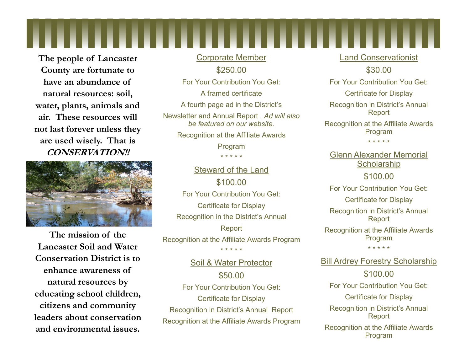**The people of Lancaster County are fortunate to have an abundance of natural resources: soil, water, plants, animals and air. These resources will not last forever unless they are used wisely. That is CONSERVATION!!**



**The mission of the Lancaster Soil and Water Conservation District is to enhance awareness of natural resources by educating school children, citizens and community leaders about conservation and environmental issues.**

Corporate Member \$250.00 For Your Contribution You Get: A framed certificate A fourth page ad in the District's Newsletter and Annual Report . *Ad will also be featured on our website.* Recognition at the Affiliate Awards Program \* \* \* \* \*

Steward of the Land \$100.00 For Your Contribution You Get: Certificate for Display Recognition in the District's Annual Report Recognition at the Affiliate Awards Program

Soil & Water Protector \$50.00 For Your Contribution You Get: Certificate for Display Recognition in District's Annual Report Recognition at the Affiliate Awards Program

\* \* \* \* \*

## Land Conservationist \$30.00 For Your Contribution You Get:

Certificate for Display Recognition in District's Annual Report

Recognition at the Affiliate Awards Program \* \* \* \* \*

Glenn Alexander Memorial **Scholarship** \$100.00 For Your Contribution You Get: Certificate for Display Recognition in District's Annual Report Recognition at the Affiliate Awards Program \* \* \* \* \*

**Bill Ardrey Forestry Scholarship** \$100.00 For Your Contribution You Get: Certificate for Display Recognition in District's Annual Report Recognition at the Affiliate Awards Program